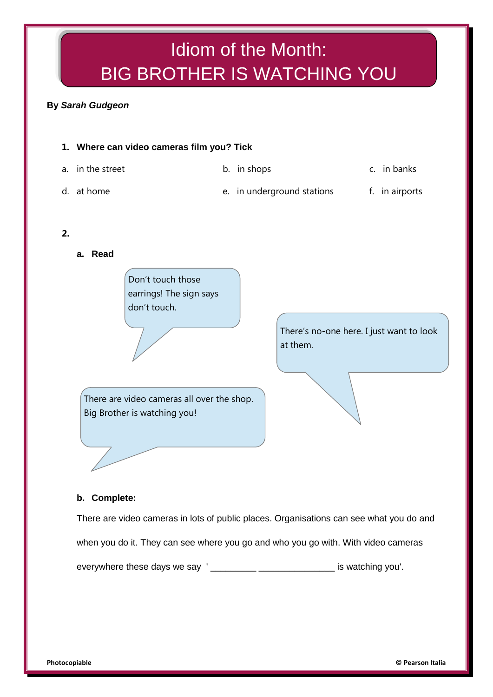## Idiom of the Month: BIG BROTHER IS WATCHING YOU

## **By** *Sarah Gudgeon*



There are video cameras in lots of public places. Organisations can see what you do and

when you do it. They can see where you go and who you go with. With video cameras

everywhere these days we say ' \_\_\_\_\_\_\_\_\_ \_\_\_\_\_\_\_\_\_\_\_\_\_\_\_ is watching you'.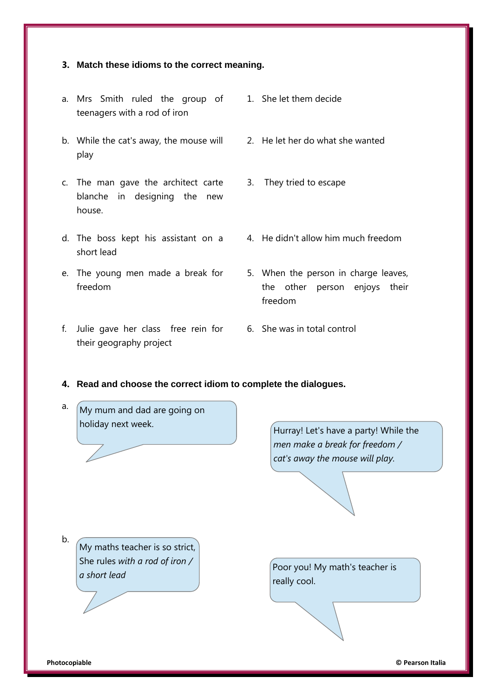## **3. Match these idioms to the correct meaning.**

- a. Mrs Smith ruled the group of teenagers with a rod of iron
- b. While the cat's away, the mouse will 2. He let her do what she wanted play
- c. The man gave the architect carte blanche in designing the new house.
- d. The boss kept his assistant on a 4. He didn't allow him much freedom short lead
- e. The young men made a break for freedom
- f. Julie gave her class free rein for 6. She was in total control their geography project
- 1. She let them decide
- 
- 3. They tried to escape
- 
- 5. When the person in charge leaves, the other person enjoys their freedom
- 
- **4. Read and choose the correct idiom to complete the dialogues.**
- a. My mum and dad are going on holiday next week.

Hurray! Let's have a party! While the *men make a break for freedom / cat's away the mouse will play.*

My maths teacher is so strict, She rules *with a rod of iron / a short lead*

Poor you! My math's teacher is really cool.

b.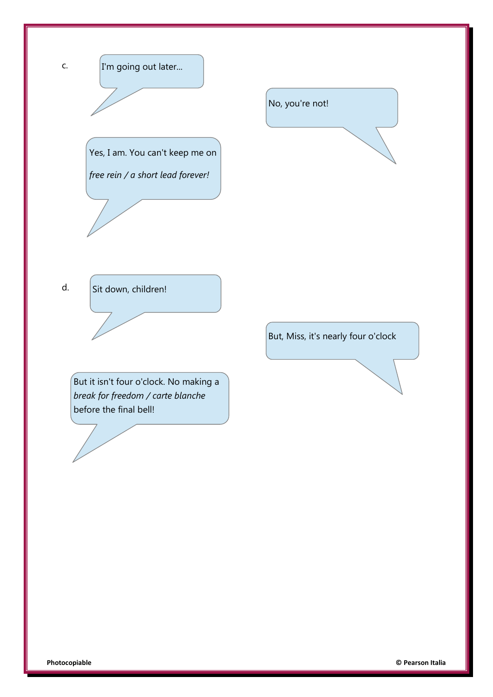